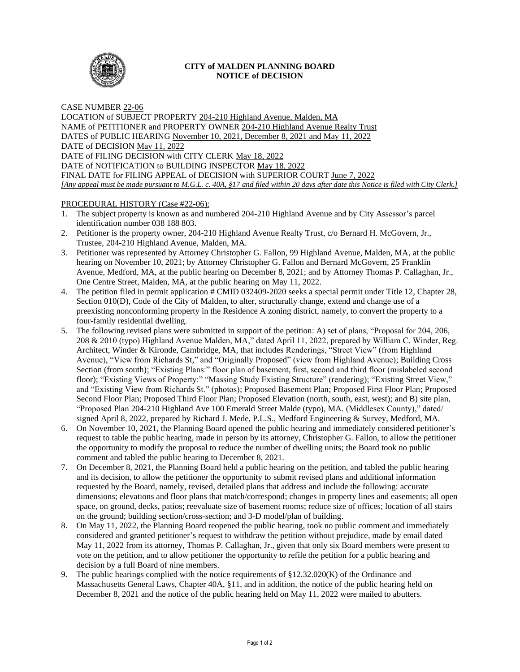

### **CITY of MALDEN PLANNING BOARD NOTICE of DECISION**

# CASE NUMBER 22-06

LOCATION of SUBJECT PROPERTY 204-210 Highland Avenue, Malden, MA NAME of PETITIONER and PROPERTY OWNER 204-210 Highland Avenue Realty Trust DATES of PUBLIC HEARING November 10, 2021, December 8, 2021 and May 11, 2022 DATE of DECISION May 11, 2022 DATE of FILING DECISION with CITY CLERK May 18, 2022 DATE of NOTIFICATION to BUILDING INSPECTOR May 18, 2022 FINAL DATE for FILING APPEAL of DECISION with SUPERIOR COURT June 7, 2022 *[Any appeal must be made pursuant to M.G.L. c. 40A, §17 and filed within 20 days after date this Notice is filed with City Clerk.]* 

# PROCEDURAL HISTORY (Case #22-06):

- 1. The subject property is known as and numbered 204-210 Highland Avenue and by City Assessor's parcel identification number 038 188 803.
- 2. Petitioner is the property owner, 204-210 Highland Avenue Realty Trust, c/o Bernard H. McGovern, Jr., Trustee, 204-210 Highland Avenue, Malden, MA.
- 3. Petitioner was represented by Attorney Christopher G. Fallon, 99 Highland Avenue, Malden, MA, at the public hearing on November 10, 2021; by Attorney Christopher G. Fallon and Bernard McGovern, 25 Franklin Avenue, Medford, MA, at the public hearing on December 8, 2021; and by Attorney Thomas P. Callaghan, Jr., One Centre Street, Malden, MA, at the public hearing on May 11, 2022.
- 4. The petition filed in permit application # CMID 032409-2020 seeks a special permit under Title 12, Chapter 28, Section 010(D), Code of the City of Malden, to alter, structurally change, extend and change use of a preexisting nonconforming property in the Residence A zoning district, namely, to convert the property to a four-family residential dwelling.
- 5. The following revised plans were submitted in support of the petition: A) set of plans, "Proposal for 204, 206, 208 & 2010 (typo) Highland Avenue Malden, MA," dated April 11, 2022, prepared by William C. Winder, Reg. Architect, Winder & Kironde, Cambridge, MA, that includes Renderings, "Street View" (from Highland Avenue), "View from Richards St," and "Originally Proposed" (view from Highland Avenue); Building Cross Section (from south); "Existing Plans:" floor plan of basement, first, second and third floor (mislabeled second floor); "Existing Views of Property:" "Massing Study Existing Structure" (rendering); "Existing Street View," and "Existing View from Richards St." (photos); Proposed Basement Plan; Proposed First Floor Plan; Proposed Second Floor Plan; Proposed Third Floor Plan; Proposed Elevation (north, south, east, west); and B) site plan, "Proposed Plan 204-210 Highland Ave 100 Emerald Street Malde (typo), MA. (Middlesex County)," dated/ signed April 8, 2022, prepared by Richard J. Mede, P.L.S., Medford Engineering & Survey, Medford, MA.
- 6. On November 10, 2021, the Planning Board opened the public hearing and immediately considered petitioner's request to table the public hearing, made in person by its attorney, Christopher G. Fallon, to allow the petitioner the opportunity to modify the proposal to reduce the number of dwelling units; the Board took no public comment and tabled the public hearing to December 8, 2021.
- 7. On December 8, 2021, the Planning Board held a public hearing on the petition, and tabled the public hearing and its decision, to allow the petitioner the opportunity to submit revised plans and additional information requested by the Board, namely, revised, detailed plans that address and include the following: accurate dimensions; elevations and floor plans that match/correspond; changes in property lines and easements; all open space, on ground, decks, patios; reevaluate size of basement rooms; reduce size of offices; location of all stairs on the ground; building section/cross-section; and 3-D model/plan of building.
- 8. On May 11, 2022, the Planning Board reopened the public hearing, took no public comment and immediately considered and granted petitioner's request to withdraw the petition without prejudice, made by email dated May 11, 2022 from its attorney, Thomas P. Callaghan, Jr., given that only six Board members were present to vote on the petition, and to allow petitioner the opportunity to refile the petition for a public hearing and decision by a full Board of nine members.
- 9. The public hearings complied with the notice requirements of  $\S 12.32.020(K)$  of the Ordinance and Massachusetts General Laws, Chapter 40A, §11, and in addition, the notice of the public hearing held on December 8, 2021 and the notice of the public hearing held on May 11, 2022 were mailed to abutters.